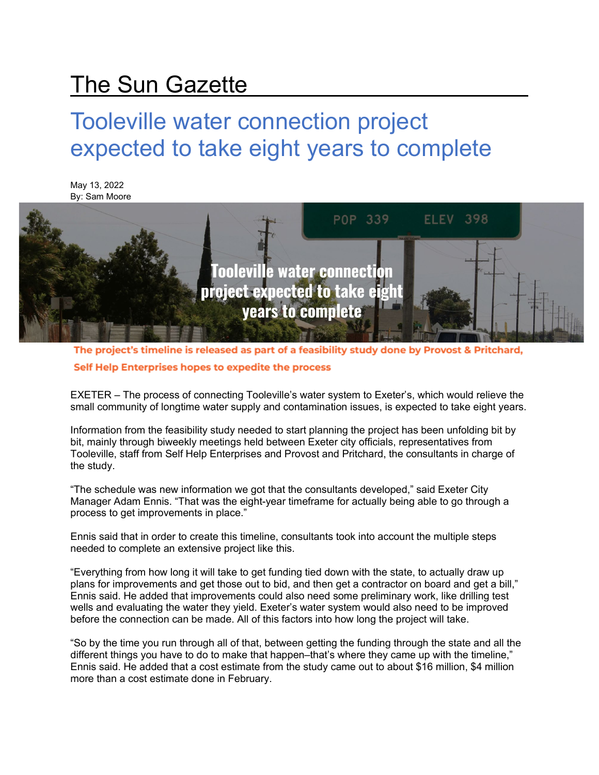## The Sun Gazette

## Tooleville water connection project expected to take eight years to complete

May 13, 2022 By: Sam Moore



The project's timeline is released as part of a feasibility study done by Provost & Pritchard, Self Help Enterprises hopes to expedite the process

EXETER – The process of connecting Tooleville's water system to Exeter's, which would relieve the small community of longtime water supply and contamination issues, is expected to take eight years.

Information from the feasibility study needed to start planning the project has been unfolding bit by bit, mainly through biweekly meetings held between Exeter city officials, representatives from Tooleville, staff from Self Help Enterprises and Provost and Pritchard, the consultants in charge of the study.

"The schedule was new information we got that the consultants developed," said Exeter City Manager Adam Ennis. "That was the eight-year timeframe for actually being able to go through a process to get improvements in place."

Ennis said that in order to create this timeline, consultants took into account the multiple steps needed to complete an extensive project like this.

"Everything from how long it will take to get funding tied down with the state, to actually draw up plans for improvements and get those out to bid, and then get a contractor on board and get a bill," Ennis said. He added that improvements could also need some preliminary work, like drilling test wells and evaluating the water they yield. Exeter's water system would also need to be improved before the connection can be made. All of this factors into how long the project will take.

"So by the time you run through all of that, between getting the funding through the state and all the different things you have to do to make that happen–that's where they came up with the timeline," Ennis said. He added that a cost estimate from the study came out to about \$16 million, \$4 million more than a cost estimate done in February.